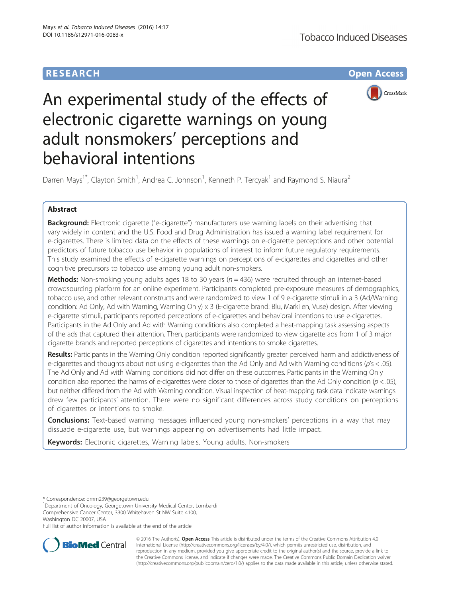# **RESEARCH CHE Open Access**



# An experimental study of the effects of electronic cigarette warnings on young adult nonsmokers' perceptions and behavioral intentions

Darren Mays<sup>1\*</sup>, Clayton Smith<sup>1</sup>, Andrea C. Johnson<sup>1</sup>, Kenneth P. Tercyak<sup>1</sup> and Raymond S. Niaura<sup>2</sup>

# Abstract

Background: Electronic cigarette ("e-cigarette") manufacturers use warning labels on their advertising that vary widely in content and the U.S. Food and Drug Administration has issued a warning label requirement for e-cigarettes. There is limited data on the effects of these warnings on e-cigarette perceptions and other potential predictors of future tobacco use behavior in populations of interest to inform future regulatory requirements. This study examined the effects of e-cigarette warnings on perceptions of e-cigarettes and cigarettes and other cognitive precursors to tobacco use among young adult non-smokers.

**Methods:** Non-smoking young adults ages 18 to 30 years ( $n = 436$ ) were recruited through an internet-based crowdsourcing platform for an online experiment. Participants completed pre-exposure measures of demographics, tobacco use, and other relevant constructs and were randomized to view 1 of 9 e-cigarette stimuli in a 3 (Ad/Warning condition: Ad Only, Ad with Warning, Warning Only) x 3 (E-cigarette brand: Blu, MarkTen, Vuse) design. After viewing e-cigarette stimuli, participants reported perceptions of e-cigarettes and behavioral intentions to use e-cigarettes. Participants in the Ad Only and Ad with Warning conditions also completed a heat-mapping task assessing aspects of the ads that captured their attention. Then, participants were randomized to view cigarette ads from 1 of 3 major cigarette brands and reported perceptions of cigarettes and intentions to smoke cigarettes.

Results: Participants in the Warning Only condition reported significantly greater perceived harm and addictiveness of e-cigarettes and thoughts about not using e-cigarettes than the Ad Only and Ad with Warning conditions (p's < .05). The Ad Only and Ad with Warning conditions did not differ on these outcomes. Participants in the Warning Only condition also reported the harms of e-cigarettes were closer to those of cigarettes than the Ad Only condition ( $p < .05$ ), but neither differed from the Ad with Warning condition. Visual inspection of heat-mapping task data indicate warnings drew few participants' attention. There were no significant differences across study conditions on perceptions of cigarettes or intentions to smoke.

**Conclusions:** Text-based warning messages influenced young non-smokers' perceptions in a way that may dissuade e-cigarette use, but warnings appearing on advertisements had little impact.

Keywords: Electronic cigarettes, Warning labels, Young adults, Non-smokers

\* Correspondence: [dmm239@georgetown.edu](mailto:dmm239@georgetown.edu) <sup>1</sup>

<sup>1</sup>Department of Oncology, Georgetown University Medical Center, Lombardi Comprehensive Cancer Center, 3300 Whitehaven St NW Suite 4100, Washington DC 20007, USA

Full list of author information is available at the end of the article



© 2016 The Author(s). Open Access This article is distributed under the terms of the Creative Commons Attribution 4.0 International License [\(http://creativecommons.org/licenses/by/4.0/](http://creativecommons.org/licenses/by/4.0/)), which permits unrestricted use, distribution, and reproduction in any medium, provided you give appropriate credit to the original author(s) and the source, provide a link to the Creative Commons license, and indicate if changes were made. The Creative Commons Public Domain Dedication waiver [\(http://creativecommons.org/publicdomain/zero/1.0/](http://creativecommons.org/publicdomain/zero/1.0/)) applies to the data made available in this article, unless otherwise stated.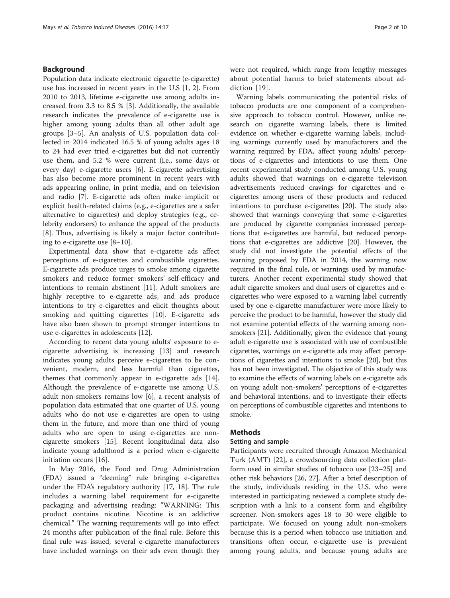# Background

Population data indicate electronic cigarette (e-cigarette) use has increased in recent years in the U.S [[1](#page-8-0), [2\]](#page-8-0). From 2010 to 2013, lifetime e-cigarette use among adults increased from 3.3 to 8.5 % [[3\]](#page-8-0). Additionally, the available research indicates the prevalence of e-cigarette use is higher among young adults than all other adult age groups [\[3](#page-8-0)–[5](#page-8-0)]. An analysis of U.S. population data collected in 2014 indicated 16.5 % of young adults ages 18 to 24 had ever tried e-cigarettes but did not currently use them, and 5.2 % were current (i.e., some days or every day) e-cigarette users [\[6\]](#page-8-0). E-cigarette advertising has also become more prominent in recent years with ads appearing online, in print media, and on television and radio [[7\]](#page-8-0). E-cigarette ads often make implicit or explicit health-related claims (e.g., e-cigarettes are a safer alternative to cigarettes) and deploy strategies (e.g., celebrity endorsers) to enhance the appeal of the products [[8\]](#page-8-0). Thus, advertising is likely a major factor contributing to e-cigarette use [[8](#page-8-0)–[10\]](#page-8-0).

Experimental data show that e-cigarette ads affect perceptions of e-cigarettes and combustible cigarettes. E-cigarette ads produce urges to smoke among cigarette smokers and reduce former smokers' self-efficacy and intentions to remain abstinent [[11\]](#page-8-0). Adult smokers are highly receptive to e-cigarette ads, and ads produce intentions to try e-cigarettes and elicit thoughts about smoking and quitting cigarettes [\[10](#page-8-0)]. E-cigarette ads have also been shown to prompt stronger intentions to use e-cigarettes in adolescents [\[12](#page-8-0)].

According to recent data young adults' exposure to ecigarette advertising is increasing [[13](#page-8-0)] and research indicates young adults perceive e-cigarettes to be convenient, modern, and less harmful than cigarettes, themes that commonly appear in e-cigarette ads [\[14](#page-8-0)]. Although the prevalence of e-cigarette use among U.S. adult non-smokers remains low [[6\]](#page-8-0), a recent analysis of population data estimated that one quarter of U.S. young adults who do not use e-cigarettes are open to using them in the future, and more than one third of young adults who are open to using e-cigarettes are noncigarette smokers [[15\]](#page-8-0). Recent longitudinal data also indicate young adulthood is a period when e-cigarette initiation occurs [\[16](#page-8-0)].

In May 2016, the Food and Drug Administration (FDA) issued a "deeming" rule bringing e-cigarettes under the FDA's regulatory authority [\[17, 18\]](#page-8-0). The rule includes a warning label requirement for e-cigarette packaging and advertising reading: "WARNING: This product contains nicotine. Nicotine is an addictive chemical." The warning requirements will go into effect 24 months after publication of the final rule. Before this final rule was issued, several e-cigarette manufacturers have included warnings on their ads even though they were not required, which range from lengthy messages about potential harms to brief statements about addiction [[19\]](#page-8-0).

Warning labels communicating the potential risks of tobacco products are one component of a comprehensive approach to tobacco control. However, unlike research on cigarette warning labels, there is limited evidence on whether e-cigarette warning labels, including warnings currently used by manufacturers and the warning required by FDA, affect young adults' perceptions of e-cigarettes and intentions to use them. One recent experimental study conducted among U.S. young adults showed that warnings on e-cigarette television advertisements reduced cravings for cigarettes and ecigarettes among users of these products and reduced intentions to purchase e-cigarettes [[20](#page-8-0)]. The study also showed that warnings conveying that some e-cigarettes are produced by cigarette companies increased perceptions that e-cigarettes are harmful, but reduced perceptions that e-cigarettes are addictive [\[20\]](#page-8-0). However, the study did not investigate the potential effects of the warning proposed by FDA in 2014, the warning now required in the final rule, or warnings used by manufacturers. Another recent experimental study showed that adult cigarette smokers and dual users of cigarettes and ecigarettes who were exposed to a warning label currently used by one e-cigarette manufacturer were more likely to perceive the product to be harmful, however the study did not examine potential effects of the warning among nonsmokers [\[21\]](#page-8-0). Additionally, given the evidence that young adult e-cigarette use is associated with use of combustible cigarettes, warnings on e-cigarette ads may affect perceptions of cigarettes and intentions to smoke [\[20\]](#page-8-0), but this has not been investigated. The objective of this study was to examine the effects of warning labels on e-cigarette ads on young adult non-smokers' perceptions of e-cigarettes and behavioral intentions, and to investigate their effects on perceptions of combustible cigarettes and intentions to smoke.

# Methods

# Setting and sample

Participants were recruited through Amazon Mechanical Turk (AMT) [[22\]](#page-8-0), a crowdsourcing data collection platform used in similar studies of tobacco use [\[23](#page-8-0)–[25\]](#page-8-0) and other risk behaviors [[26](#page-8-0), [27\]](#page-8-0). After a brief description of the study, individuals residing in the U.S. who were interested in participating reviewed a complete study description with a link to a consent form and eligibility screener. Non-smokers ages 18 to 30 were eligible to participate. We focused on young adult non-smokers because this is a period when tobacco use initiation and transitions often occur, e-cigarette use is prevalent among young adults, and because young adults are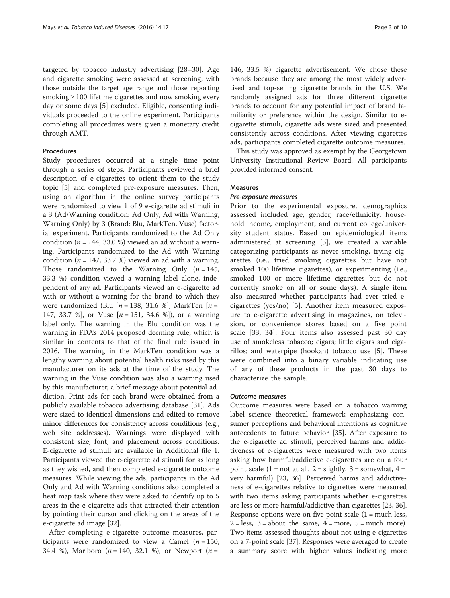targeted by tobacco industry advertising [\[28](#page-9-0)–[30\]](#page-9-0). Age and cigarette smoking were assessed at screening, with those outside the target age range and those reporting smoking  $\geq 100$  lifetime cigarettes and now smoking every day or some days [\[5\]](#page-8-0) excluded. Eligible, consenting individuals proceeded to the online experiment. Participants completing all procedures were given a monetary credit through AMT.

# Procedures

Study procedures occurred at a single time point through a series of steps. Participants reviewed a brief description of e-cigarettes to orient them to the study topic [[5\]](#page-8-0) and completed pre-exposure measures. Then, using an algorithm in the online survey participants were randomized to view 1 of 9 e-cigarette ad stimuli in a 3 (Ad/Warning condition: Ad Only, Ad with Warning, Warning Only) by 3 (Brand: Blu, MarkTen, Vuse) factorial experiment. Participants randomized to the Ad Only condition ( $n = 144$ , 33.0 %) viewed an ad without a warning. Participants randomized to the Ad with Warning condition ( $n = 147, 33.7$  %) viewed an ad with a warning. Those randomized to the Warning Only  $(n = 145,$ 33.3 %) condition viewed a warning label alone, independent of any ad. Participants viewed an e-cigarette ad with or without a warning for the brand to which they were randomized (Blu  $[n = 138, 31.6 %]$ , MarkTen  $[n = 138, 31.6 %]$ 147, 33.7 %], or Vuse  $[n = 151, 34.6$  %]), or a warning label only. The warning in the Blu condition was the warning in FDA's 2014 proposed deeming rule, which is similar in contents to that of the final rule issued in 2016. The warning in the MarkTen condition was a lengthy warning about potential health risks used by this manufacturer on its ads at the time of the study. The warning in the Vuse condition was also a warning used by this manufacturer, a brief message about potential addiction. Print ads for each brand were obtained from a publicly available tobacco advertising database [[31\]](#page-9-0). Ads were sized to identical dimensions and edited to remove minor differences for consistency across conditions (e.g., web site addresses). Warnings were displayed with consistent size, font, and placement across conditions. E-cigarette ad stimuli are available in Additional file [1](#page-8-0). Participants viewed the e-cigarette ad stimuli for as long as they wished, and then completed e-cigarette outcome measures. While viewing the ads, participants in the Ad Only and Ad with Warning conditions also completed a heat map task where they were asked to identify up to 5 areas in the e-cigarette ads that attracted their attention by pointing their cursor and clicking on the areas of the e-cigarette ad image [\[32](#page-9-0)].

After completing e-cigarette outcome measures, participants were randomized to view a Camel ( $n = 150$ , 34.4 %), Marlboro ( $n = 140, 32.1$  %), or Newport ( $n =$ 

146, 33.5 %) cigarette advertisement. We chose these brands because they are among the most widely advertised and top-selling cigarette brands in the U.S. We randomly assigned ads for three different cigarette brands to account for any potential impact of brand familiarity or preference within the design. Similar to ecigarette stimuli, cigarette ads were sized and presented consistently across conditions. After viewing cigarettes ads, participants completed cigarette outcome measures.

This study was approved as exempt by the Georgetown University Institutional Review Board. All participants provided informed consent.

# Measures

## Pre-exposure measures

Prior to the experimental exposure, demographics assessed included age, gender, race/ethnicity, household income, employment, and current college/university student status. Based on epidemiological items administered at screening [[5\]](#page-8-0), we created a variable categorizing participants as never smoking, trying cigarettes (i.e., tried smoking cigarettes but have not smoked 100 lifetime cigarettes), or experimenting (i.e., smoked 100 or more lifetime cigarettes but do not currently smoke on all or some days). A single item also measured whether participants had ever tried ecigarettes (yes/no) [[5\]](#page-8-0). Another item measured exposure to e-cigarette advertising in magazines, on television, or convenience stores based on a five point scale [\[33](#page-9-0), [34](#page-9-0)]. Four items also assessed past 30 day use of smokeless tobacco; cigars; little cigars and cigarillos; and waterpipe (hookah) tobacco use [[5\]](#page-8-0). These were combined into a binary variable indicating use of any of these products in the past 30 days to characterize the sample.

# Outcome measures

Outcome measures were based on a tobacco warning label science theoretical framework emphasizing consumer perceptions and behavioral intentions as cognitive antecedents to future behavior [\[35\]](#page-9-0). After exposure to the e-cigarette ad stimuli, perceived harms and addictiveness of e-cigarettes were measured with two items asking how harmful/addictive e-cigarettes are on a four point scale  $(1 = not at all, 2 = slightly, 3 = somewhat, 4 =$ very harmful) [\[23](#page-8-0), [36\]](#page-9-0). Perceived harms and addictiveness of e-cigarettes relative to cigarettes were measured with two items asking participants whether e-cigarettes are less or more harmful/addictive than cigarettes [\[23,](#page-8-0) [36](#page-9-0)]. Response options were on five point scale  $(1 = \text{much less,}$  $2 = less, 3 = about the same, 4 = more, 5 = much more).$ Two items assessed thoughts about not using e-cigarettes on a 7-point scale [\[37](#page-9-0)]. Responses were averaged to create a summary score with higher values indicating more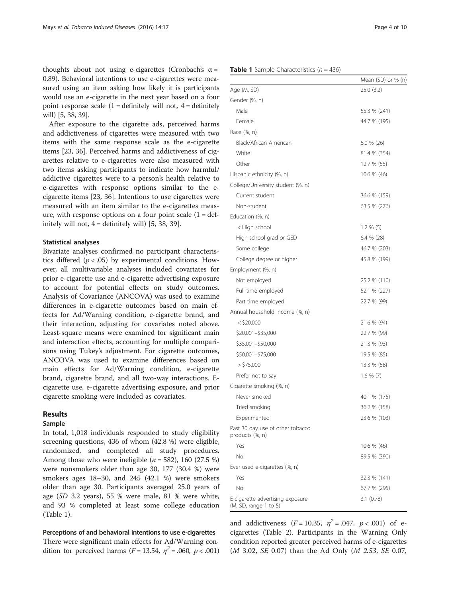thoughts about not using e-cigarettes (Cronbach's  $\alpha$  = 0.89). Behavioral intentions to use e-cigarettes were measured using an item asking how likely it is participants would use an e-cigarette in the next year based on a fourpoint response scale  $(1 =$  definitely will not,  $4 =$  definitely will) [[5](#page-8-0), [38, 39](#page-9-0)].

After exposure to the cigarette ads, perceived harm and addictiveness of cigarettes were measured with two items with the same response scale as the e-cigarette items [\[23,](#page-8-0) [36\]](#page-9-0). Perceived harms and addictiveness of cigarettes relative to e-cigarettes were also measured with two items asking participants to indicate how harmful/ addictive cigarettes were to a person's health relative to e-cigarettes with response options similar to the ecigarette items [\[23,](#page-8-0) [36\]](#page-9-0). Intentions to use cigarettes were measured with an item similar to the e-cigarettes measure, with response options on a four point scale  $(1 = det)$ initely will not,  $4 =$  definitely will) [[5,](#page-8-0) [38, 39\]](#page-9-0).

# Statistical analyses

Bivariate analyses confirmed no participant characteristics differed ( $p < .05$ ) by experimental conditions. However, all multivariable analyses included covariates for prior e-cigarette use and e-cigarette advertising exposure to account for potential effects on study outcomes Analysis of Covariance (ANCOVA) was used to examine differences in e-cigarette outcomes based on main effects for Ad/Warning condition, e-cigarette brand, and their interaction, adjusting for covariates noted above. Least-square means were examined for significant main and interaction effects, accounting for multiple comparisons using Tukey's adjustment. For cigarette outcomes ANCOVA was used to examine differences based on main effects for Ad/Warning condition, e-cigarette brand, cigarette brand, and all two-way interactions. Ecigarette use, e-cigarette advertising exposure, and prior cigarette smoking were included as covariates.

# Results

#### Sample

In total, 1,018 individuals responded to study eligibility screening questions, 436 of whom (42.8 %) were eligible, randomized, and completed all study procedures. Among those who were ineligible  $(n = 582)$ , 160 (27.5 %) were nonsmokers older than age 30, 177 (30.4 %) were smokers ages 18–30, and 245 (42.1 %) were smokers older than age 30. Participants averaged 25.0 years of age (SD 3.2 years), 55 % were male, 81 % were white, and 93 % completed at least some college education (Table 1).

## Perceptions of and behavioral intentions to use e-cigarettes

There were significant main effects for Ad/Warning condition for perceived harms ( $F = 13.54$ ,  $\eta^2 = .060$ ,  $p < .001$ )

| Age (M, SD)                       | 25.0(3.2)     |
|-----------------------------------|---------------|
| Gender (%, n)                     |               |
| Male                              | 55.3 % (241)  |
| Female                            | 44.7 % (195)  |
| Race (%, n)                       |               |
| Black/African American            | $6.0 \% (26)$ |
| White                             | 81.4 % (354)  |
| Other                             | 12.7 % (55)   |
| Hispanic ethnicity (%, n)         | 10.6 % (46)   |
| College/University student (%, n) |               |
| Current student                   | 36.6 % (159)  |
| Non-student                       | 63.5 % (276)  |
| Education (%, n)                  |               |
| < High school                     | $1.2 \% (5)$  |
| High school grad or GED           | $6.4 \% (28)$ |
| Some college                      | 46.7 % (203)  |
| College degree or higher          | 45.8 % (199)  |
| Employment (%, n)                 |               |
| Not employed                      | 25.2 % (110)  |
| Full time employed                | 52.1 % (227)  |
| Part time employed                | 22.7 % (99)   |
| Annual household income (%, n)    |               |
| $<$ \$20,000                      | 21.6 % (94)   |
| \$20,001-\$35,000                 | 22.7 % (99)   |
| \$35,001-\$50,000                 | 21.3 % (93)   |
| \$50,001-\$75,000                 | 19.5 % (85)   |
| $>$ \$75,000                      | 13.3 % (58)   |
| Prefer not to say                 | $1.6 \% (7)$  |
| Cigarette smoking (%, n)          |               |
| المصدا مصمم مصد                   | 40.1 N (175)  |

| Cigarette smoking (%, n)                                  |              |
|-----------------------------------------------------------|--------------|
| Never smoked                                              | 40.1 % (175) |
| Tried smoking                                             | 36.2 % (158) |
| Experimented                                              | 23.6 % (103) |
| Past 30 day use of other tobacco<br>products (%, n)       |              |
| Yes                                                       | 10.6 % (46)  |
| No                                                        | 89.5 % (390) |
| Ever used e-cigarettes (%, n)                             |              |
| Yes                                                       | 32.3 % (141) |
| No                                                        | 67.7 % (295) |
| E-cigarette advertising exposure<br>(M, SD, range 1 to 5) | 3.1(0.78)    |

and addictiveness ( $F = 10.35$ ,  $\eta^2 = .047$ ,  $p < .001$ ) of ecigarettes (Table [2](#page-4-0)). Participants in the Warning Only condition reported greater perceived harms of e-cigarettes (M 3.02, SE 0.07) than the Ad Only (M 2.53, SE 0.07,

Mean (SD) or % (n)

#### **Table 1** Sample Characteristics  $(n = 436)$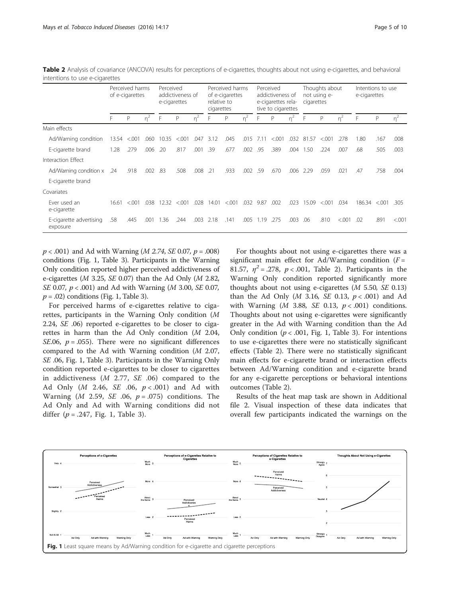|                                     | Perceived harms<br>of e-cigarettes |         |       | Perceived<br>addictiveness of<br>e-cigarettes |         |       | Perceived harms<br>of e-cigarettes<br>relative to<br>cigarettes |         | Perceived<br>addictiveness of<br>e-cigarettes rela-<br>tive to cigarettes |      |         | Thoughts about<br>not using e-<br>cigarettes |       |         | Intentions to use<br>e-cigarettes |        |         |         |
|-------------------------------------|------------------------------------|---------|-------|-----------------------------------------------|---------|-------|-----------------------------------------------------------------|---------|---------------------------------------------------------------------------|------|---------|----------------------------------------------|-------|---------|-----------------------------------|--------|---------|---------|
|                                     | F                                  | P       | $n^2$ | F                                             | P       | $n^2$ | F                                                               | P       | $n^2$                                                                     | F    | P       | $n^2$                                        | F     | P       | $n^2$                             | F      | P       | $n^2$   |
| Main effects                        |                                    |         |       |                                               |         |       |                                                                 |         |                                                                           |      |         |                                              |       |         |                                   |        |         |         |
| Ad/Warning condition                | 13.54                              | < 0.001 | .060  | 10.35                                         | < 0.001 | .047  | 3.12                                                            | .045    | .015                                                                      | 7.11 | < 0.001 | .032                                         | 81.57 | < 0.001 | .278                              | 1.80   | .167    | .008    |
| E-cigarette brand                   | 1.28                               | .279    | .006  | .20                                           | .817    | .001  | .39                                                             | .677    | .002                                                                      | .95  | .389    | .004                                         | 1.50  | .224    | .007                              | .68    | .505    | .003    |
| Interaction Effect                  |                                    |         |       |                                               |         |       |                                                                 |         |                                                                           |      |         |                                              |       |         |                                   |        |         |         |
| Ad/Warning condition x              | .24                                | .918    | .002  | .83                                           | .508    | .008  | .21                                                             | .933    | .002                                                                      | .59  | .670    | .006                                         | 2.29  | .059    | .021                              | .47    | .758    | .004    |
| E-cigarette brand                   |                                    |         |       |                                               |         |       |                                                                 |         |                                                                           |      |         |                                              |       |         |                                   |        |         |         |
| Covariates                          |                                    |         |       |                                               |         |       |                                                                 |         |                                                                           |      |         |                                              |       |         |                                   |        |         |         |
| Ever used an<br>e-cigarette         | 16.61                              | < 0.01  | .038  | 12.32                                         | < 0.01  | .028  | 14.01                                                           | < 0.001 | .032                                                                      | 9.87 | .002    | .023                                         | 15.09 | < 0.001 | .034                              | 186.34 | < 0.001 | .305    |
| E-cigarette advertising<br>exposure | .58                                | .445    | .001  | 1.36                                          | .244    | .003  | 2.18                                                            | .141    | .005                                                                      | 1.19 | .275    | .003                                         | .06   | .810    | < .001                            | .02    | .891    | < 0.001 |

<span id="page-4-0"></span>Table 2 Analysis of covariance (ANCOVA) results for perceptions of e-cigarettes, thoughts about not using e-cigarettes, and behavioral intentions to use e-cigarettes

 $p < .001$ ) and Ad with Warning (*M 2.74, SE 0.07, p = .008*) conditions (Fig. 1, Table [3](#page-5-0)). Participants in the Warning Only condition reported higher perceived addictiveness of e-cigarettes (*M* 3.25, *SE* 0.07) than the Ad Only (*M* 2.82, SE 0.07,  $p < .001$ ) and Ad with Warning (*M* 3.00, *SE* 0.07,  $p = .02$ ) conditions (Fig. 1, Table [3](#page-5-0)).

For perceived harms of e-cigarettes relative to cigarettes, participants in the Warning Only condition (M 2.24, SE .06) reported e-cigarettes to be closer to cigarettes in harm than the Ad Only condition (M 2.04, SE.06,  $p = .055$ ). There were no significant differences compared to the Ad with Warning condition (M 2.07, SE .06, Fig. 1, Table [3\)](#page-5-0). Participants in the Warning Only condition reported e-cigarettes to be closer to cigarettes in addictiveness (M 2.77, SE .06) compared to the Ad Only ( $M$  2.46,  $SE$  .06,  $p < .001$ ) and Ad with Warning (*M* 2.59, *SE* .06,  $p = .075$ ) conditions. The Ad Only and Ad with Warning conditions did not differ  $(p = .247, Fig. 1, Table 3)$  $(p = .247, Fig. 1, Table 3)$ .

For thoughts about not using e-cigarettes there was a significant main effect for Ad/Warning condition  $(F =$ 81.57,  $\eta^2 = .278$ ,  $p < .001$ , Table 2). Participants in the Warning Only condition reported significantly more thoughts about not using e-cigarettes  $(M 5.50, SE 0.13)$ than the Ad Only (*M* 3.16, *SE* 0.13,  $p < .001$ ) and Ad with Warning ( $M$  3.88, SE 0.13,  $p < .001$ ) conditions. Thoughts about not using e-cigarettes were significantly greater in the Ad with Warning condition than the Ad Only condition ( $p < .001$ , Fig. 1, Table [3\)](#page-5-0). For intentions to use e-cigarettes there were no statistically significant effects (Table 2). There were no statistically significant main effects for e-cigarette brand or interaction effects between Ad/Warning condition and e-cigarette brand for any e-cigarette perceptions or behavioral intentions outcomes (Table 2).

Results of the heat map task are shown in Additional file [2](#page-8-0). Visual inspection of these data indicates that overall few participants indicated the warnings on the

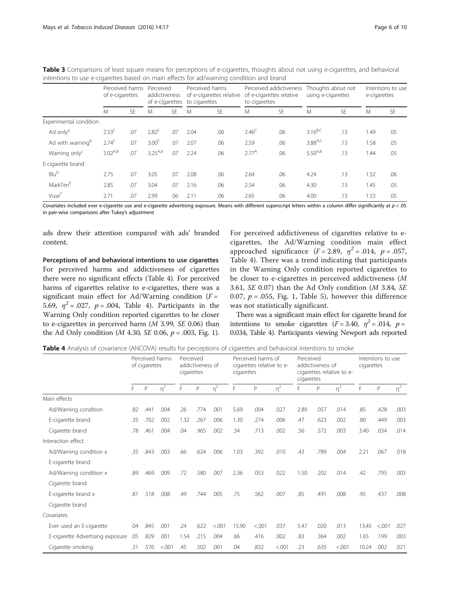|                              | Perceived harms<br>of e-cigarettes |           | Perceived<br>addictiveness<br>of e-cigarettes |     | Perceived harms<br>of e-cigarettes relative<br>to cigarettes |           | to cigarettes  | Perceived addictiveness<br>of e-cigarettes relative | Thoughts about not<br>using e-cigarettes |           | Intentions to use<br>e-cigarettes |           |
|------------------------------|------------------------------------|-----------|-----------------------------------------------|-----|--------------------------------------------------------------|-----------|----------------|-----------------------------------------------------|------------------------------------------|-----------|-----------------------------------|-----------|
|                              | M                                  | <b>SE</b> | M                                             | SE. | M                                                            | <b>SE</b> | M              | <b>SE</b>                                           | M                                        | <b>SE</b> | M                                 | <b>SE</b> |
| Experimental condition       |                                    |           |                                               |     |                                                              |           |                |                                                     |                                          |           |                                   |           |
| Ad only <sup>a</sup>         | $2.53^{\circ}$                     | .07       | $2.82^C$                                      | .07 | 2.04                                                         | .06       | $2.46^{\circ}$ | .06                                                 | $3.16^{B,C}$                             | .13       | 1.49                              | .05       |
| Ad with warning <sup>b</sup> | $2.74^{C}$                         | .07       | 3.00 <sup>C</sup>                             | .07 | 2.07                                                         | .06       | 2.59           | .06                                                 | $3.88^{A,C}$                             | .13       | 1.58                              | .05       |
| Warning only <sup>c</sup>    | $3.02^{A,B}$                       | .07       | $3.25^{A,B}$                                  | .07 | 2.24                                                         | .06       | $2.77^{A}$     | .06                                                 | $5.50^{A,B}$                             | .13       | .44                               | .05       |
| E-cigarette brand            |                                    |           |                                               |     |                                                              |           |                |                                                     |                                          |           |                                   |           |
| Blu <sup>D</sup>             | 2.75                               | .07       | 3.05                                          | .07 | 2.08                                                         | .06       | 2.64           | .06                                                 | 4.24                                     | .13       | 1.52                              | .06       |
| MarkTen <sup>E</sup>         | 2.85                               | .07       | 3.04                                          | .07 | 2.16                                                         | .06       | 2.54           | .06                                                 | 4.30                                     | .13       | 1.45                              | .05       |
| Vuse <sup>F</sup>            | 2.71                               | .07       | 2.99                                          | .06 | 2.11                                                         | .06       | 2.65           | .06                                                 | 4.00                                     | .13       | .53                               | .05       |

<span id="page-5-0"></span>Table 3 Comparisons of least square means for perceptions of e-cigarettes, thoughts about not using e-cigarettes, and behavioral intentions to use e-cigarettes based on main effects for ad/warning condition and brand

Covariates included ever e-cigarette use and e-cigarette advertising exposure. Means with different superscript letters within a column differ significantly at  $p < .05$ in pair-wise comparisons after Tukey's adjustment

ads drew their attention compared with ads' branded content.

Perceptions of and behavioral intentions to use cigarettes For perceived harms and addictiveness of cigarettes there were no significant effects (Table 4). For perceived harms of cigarettes relative to e-cigarettes, there was a significant main effect for Ad/Warning condition  $(F =$ 5.69,  $\eta^2 = .027$ ,  $p = .004$ , Table 4). Participants in the Warning Only condition reported cigarettes to be closer to e-cigarettes in perceived harm (M 3.99, SE 0.06) than the Ad Only condition (*M* 4.30, *SE* 0.06,  $p = .003$ , Fig. [1](#page-4-0)).

For perceived addictiveness of cigarettes relative to ecigarettes, the Ad/Warning condition main effect approached significance  $(F = 2.89, \eta^2 = .014, \rho = .057,$ Table 4). There was a trend indicating that participants in the Warning Only condition reported cigarettes to be closer to e-cigarettes in perceived addictiveness (M 3.61, SE 0.07) than the Ad Only condition (M 3.84, SE 0.07,  $p = .055$ , Fig. [1](#page-4-0), Table [5](#page-6-0)), however this difference was not statistically significant.

There was a significant main effect for cigarette brand for intentions to smoke cigarettes  $(F = 3.40, \eta^2 = .014, \rho =$ 0.034, Table 4). Participants viewing Newport ads reported

Table 4 Analysis of covariance (ANCOVA) results for perceptions of cigarettes and behavioral intentions to smoke

|                                  | Perceived harms<br>of cigarettes |              |                     | Perceived<br>addictiveness of<br>cigarettes |      |        | Perceived harms of<br>cigarettes relative to e-<br>cigarettes |              |                     | Perceived<br>addictiveness of<br>cigarettes relative to e-<br>cigarettes |      |                     | Intentions to use<br>cigarettes |        |       |
|----------------------------------|----------------------------------|--------------|---------------------|---------------------------------------------|------|--------|---------------------------------------------------------------|--------------|---------------------|--------------------------------------------------------------------------|------|---------------------|---------------------------------|--------|-------|
|                                  | F                                | $\mathsf{P}$ | $\overline{\eta}^2$ | F                                           | P    | $n^2$  | F                                                             | $\mathsf{P}$ | $\overline{\eta}^2$ | F                                                                        | P    | $\overline{\eta}^2$ | F                               | P      | $n^2$ |
| Main effects                     |                                  |              |                     |                                             |      |        |                                                               |              |                     |                                                                          |      |                     |                                 |        |       |
| Ad/Warning condition             | .82                              | .441         | .004                | .26                                         | .774 | .001   | 5.69                                                          | .004         | .027                | 2.89                                                                     | .057 | .014                | .85                             | .428   | .003  |
| E-cigarette brand                | .35                              | .702         | .002                | 1.32                                        | .267 | .006   | 1.30                                                          | .274         | .006                | .47                                                                      | .623 | .002                | .80                             | .449   | .003  |
| Cigarette brand                  | .78                              | .461         | .004                | .04                                         | .965 | .002   | 34                                                            | .713         | .002                | .56                                                                      | .572 | .003                | 3.40                            | .034   | .014  |
| Interaction effect               |                                  |              |                     |                                             |      |        |                                                               |              |                     |                                                                          |      |                     |                                 |        |       |
| Ad/Warning condition x           | .35                              | .843         | .003                | .66                                         | .624 | .006   | 1.03                                                          | .392         | .010                | .43                                                                      | .789 | .004                | 2.21                            | .067   | .018  |
| E-cigarette brand                |                                  |              |                     |                                             |      |        |                                                               |              |                     |                                                                          |      |                     |                                 |        |       |
| Ad/Warning condition x           | .89                              | .469         | .009                | .72                                         | .580 | .007   | 2.36                                                          | .053         | .022                | 1.50                                                                     | .202 | .014                | .42                             | .795   | .003  |
| Cigarette brand                  |                                  |              |                     |                                             |      |        |                                                               |              |                     |                                                                          |      |                     |                                 |        |       |
| E-cigarette brand x              | .81                              | .518         | .008                | .49                                         | .744 | .005   | .75                                                           | .562         | .007                | .85                                                                      | .491 | .008                | .95                             | .437   | .008  |
| Cigarette brand                  |                                  |              |                     |                                             |      |        |                                                               |              |                     |                                                                          |      |                     |                                 |        |       |
| Covariates                       |                                  |              |                     |                                             |      |        |                                                               |              |                     |                                                                          |      |                     |                                 |        |       |
| Ever used an E-cigarette         | .04                              | .845         | .001                | .24                                         | .622 | < .001 | 15.90                                                         | < .001       | .037                | 5.47                                                                     | .020 | .013                | 13.45                           | < .001 | .027  |
| E-cigarette Advertising exposure | .05                              | .829         | .001                | 1.54                                        | .215 | .004   | .66                                                           | .416         | .002                | .83                                                                      | .364 | .002                | 1.65                            | .199   | .003  |
| Cigarette smoking                | .31                              | .576         | < .001              | .45                                         | .502 | .001   | .04                                                           | .832         | < .001              | .23                                                                      | .635 | < .001              | 10.24                           | .002   | .021  |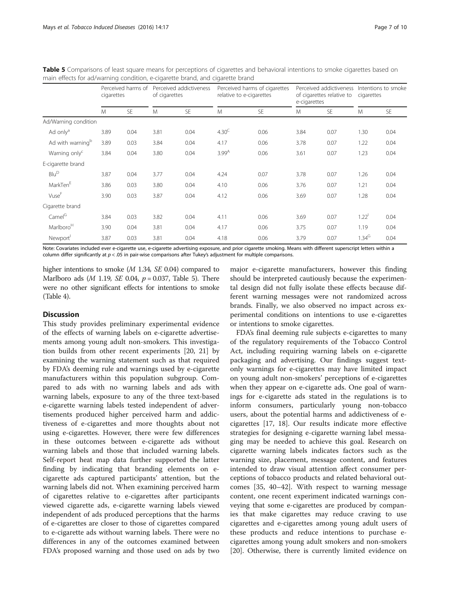|                              | Perceived harms of<br>cigarettes |           | of cigarettes | Perceived addictiveness |                   | Perceived harms of cigarettes<br>relative to e-cigarettes | e-cigarettes | Perceived addictiveness<br>of cigarettes relative to | Intentions to smoke<br>cigarettes |           |
|------------------------------|----------------------------------|-----------|---------------|-------------------------|-------------------|-----------------------------------------------------------|--------------|------------------------------------------------------|-----------------------------------|-----------|
|                              | M                                | <b>SE</b> | M             | <b>SE</b>               | M                 | <b>SE</b>                                                 | M            | <b>SE</b>                                            | M                                 | <b>SE</b> |
| Ad/Warning condition         |                                  |           |               |                         |                   |                                                           |              |                                                      |                                   |           |
| Ad only <sup>a</sup>         | 3.89                             | 0.04      | 3.81          | 0.04                    | 4.30 <sup>C</sup> | 0.06                                                      | 3.84         | 0.07                                                 | 1.30                              | 0.04      |
| Ad with warning <sup>b</sup> | 3.89                             | 0.03      | 3.84          | 0.04                    | 4.17              | 0.06                                                      | 3.78         | 0.07                                                 | 1.22                              | 0.04      |
| Warning only <sup>c</sup>    | 3.84                             | 0.04      | 3.80          | 0.04                    | 3.99 <sup>A</sup> | 0.06                                                      | 3.61         | 0.07                                                 | 1.23                              | 0.04      |
| E-cigarette brand            |                                  |           |               |                         |                   |                                                           |              |                                                      |                                   |           |
| $Blu^D$                      | 3.87                             | 0.04      | 3.77          | 0.04                    | 4.24              | 0.07                                                      | 3.78         | 0.07                                                 | 1.26                              | 0.04      |
| MarkTen <sup>E</sup>         | 3.86                             | 0.03      | 3.80          | 0.04                    | 4.10              | 0.06                                                      | 3.76         | 0.07                                                 | 1.21                              | 0.04      |
| VuseF                        | 3.90                             | 0.03      | 3.87          | 0.04                    | 4.12              | 0.06                                                      | 3.69         | 0.07                                                 | 1.28                              | 0.04      |
| Cigarette brand              |                                  |           |               |                         |                   |                                                           |              |                                                      |                                   |           |
| Camel <sup>G</sup>           | 3.84                             | 0.03      | 3.82          | 0.04                    | 4.11              | 0.06                                                      | 3.69         | 0.07                                                 | 1.22 <sup>1</sup>                 | 0.04      |
| Marlboro <sup>H</sup>        | 3.90                             | 0.04      | 3.81          | 0.04                    | 4.17              | 0.06                                                      | 3.75         | 0.07                                                 | 1.19                              | 0.04      |
| Newport <sup>1</sup>         | 3.87                             | 0.03      | 3.81          | 0.04                    | 4.18              | 0.06                                                      | 3.79         | 0.07                                                 | $1.34^G$                          | 0.04      |

<span id="page-6-0"></span>Table 5 Comparisons of least square means for perceptions of cigarettes and behavioral intentions to smoke cigarettes based on main effects for ad/warning condition, e-cigarette brand, and cigarette brand

Note: Covariates included ever e-cigarette use, e-cigarette advertising exposure, and prior cigarette smoking. Means with different superscript letters within a column differ significantly at  $p < 05$  in pair-wise comparisons after Tukey's adjustment for multiple comparisons.

higher intentions to smoke (M 1.34, SE 0.04) compared to Marlboro ads ( $M$  1.19, *SE* 0.04,  $p = 0.037$ , Table 5). There were no other significant effects for intentions to smoke (Table [4](#page-5-0)).

# **Discussion**

This study provides preliminary experimental evidence of the effects of warning labels on e-cigarette advertisements among young adult non-smokers. This investigation builds from other recent experiments [[20](#page-8-0), [21](#page-8-0)] by examining the warning statement such as that required by FDA's deeming rule and warnings used by e-cigarette manufacturers within this population subgroup. Compared to ads with no warning labels and ads with warning labels, exposure to any of the three text-based e-cigarette warning labels tested independent of advertisements produced higher perceived harm and addictiveness of e-cigarettes and more thoughts about not using e-cigarettes. However, there were few differences in these outcomes between e-cigarette ads without warning labels and those that included warning labels. Self-report heat map data further supported the latter finding by indicating that branding elements on ecigarette ads captured participants' attention, but the warning labels did not. When examining perceived harm of cigarettes relative to e-cigarettes after participants viewed cigarette ads, e-cigarette warning labels viewed independent of ads produced perceptions that the harms of e-cigarettes are closer to those of cigarettes compared to e-cigarette ads without warning labels. There were no differences in any of the outcomes examined between FDA's proposed warning and those used on ads by two

major e-cigarette manufacturers, however this finding should be interpreted cautiously because the experimental design did not fully isolate these effects because different warning messages were not randomized across brands. Finally, we also observed no impact across experimental conditions on intentions to use e-cigarettes or intentions to smoke cigarettes.

FDA's final deeming rule subjects e-cigarettes to many of the regulatory requirements of the Tobacco Control Act, including requiring warning labels on e-cigarette packaging and advertising. Our findings suggest textonly warnings for e-cigarettes may have limited impact on young adult non-smokers' perceptions of e-cigarettes when they appear on e-cigarette ads. One goal of warnings for e-cigarette ads stated in the regulations is to inform consumers, particularly young non-tobacco users, about the potential harms and addictiveness of ecigarettes [\[17](#page-8-0), [18](#page-8-0)]. Our results indicate more effective strategies for designing e-cigarette warning label messaging may be needed to achieve this goal. Research on cigarette warning labels indicates factors such as the warning size, placement, message content, and features intended to draw visual attention affect consumer perceptions of tobacco products and related behavioral outcomes [\[35, 40](#page-9-0)–[42\]](#page-9-0). With respect to warning message content, one recent experiment indicated warnings conveying that some e-cigarettes are produced by companies that make cigarettes may reduce craving to use cigarettes and e-cigarettes among young adult users of these products and reduce intentions to purchase ecigarettes among young adult smokers and non-smokers [[20\]](#page-8-0). Otherwise, there is currently limited evidence on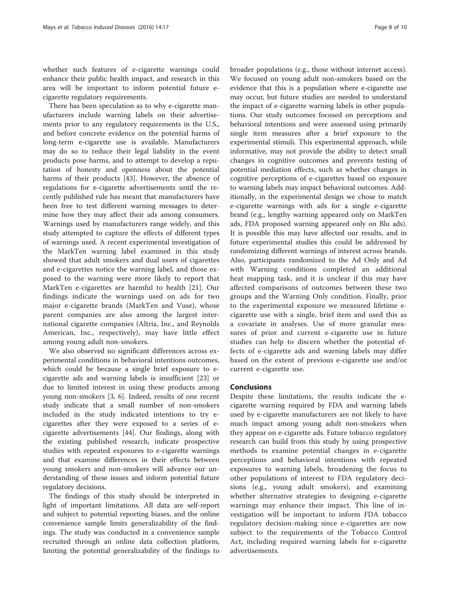whether such features of e-cigarette warnings could enhance their public health impact, and research in this area will be important to inform potential future ecigarette regulatory requirements.

There has been speculation as to why e-cigarette manufacturers include warning labels on their advertisements prior to any regulatory requirements in the U.S., and before concrete evidence on the potential harms of long-term e-cigarette use is available. Manufacturers may do so to reduce their legal liability in the event products pose harms, and to attempt to develop a reputation of honesty and openness about the potential harms of their products [\[43](#page-9-0)]. However, the absence of regulations for e-cigarette advertisements until the recently published rule has meant that manufacturers have been free to test different warning messages to determine how they may affect their ads among consumers. Warnings used by manufacturers range widely, and this study attempted to capture the effects of different types of warnings used. A recent experimental investigation of the MarkTen warning label examined in this study showed that adult smokers and dual users of cigarettes and e-cigarettes notice the warning label, and those exposed to the warning were more likely to report that MarkTen e-cigarettes are harmful to health [[21\]](#page-8-0). Our findings indicate the warnings used on ads for two major e-cigarette brands (MarkTen and Vuse), whose parent companies are also among the largest international cigarette companies (Altria, Inc., and Reynolds American, Inc., respectively), may have little effect among young adult non-smokers.

We also observed no significant differences across experimental conditions in behavioral intentions outcomes, which could be because a single brief exposure to ecigarette ads and warning labels is insufficient [\[23\]](#page-8-0) or due to limited interest in using these products among young non-smokers [[3, 6](#page-8-0)]. Indeed, results of one recent study indicate that a small number of non-smokers included in the study indicated intentions to try ecigarettes after they were exposed to a series of ecigarette advertisements [\[44](#page-9-0)]. Our findings, along with the existing published research, indicate prospective studies with repeated exposures to e-cigarette warnings and that examine differences in their effects between young smokers and non-smokers will advance our understanding of these issues and inform potential future regulatory decisions.

The findings of this study should be interpreted in light of important limitations. All data are self-report and subject to potential reporting biases, and the online convenience sample limits generalizability of the findings. The study was conducted in a convenience sample recruited through an online data collection platform, limiting the potential generalizability of the findings to

broader populations (e.g., those without internet access). We focused on young adult non-smokers based on the evidence that this is a population where e-cigarette use may occur, but future studies are needed to understand the impact of e-cigarette warning labels in other populations. Our study outcomes focused on perceptions and behavioral intentions and were assessed using primarily single item measures after a brief exposure to the experimental stimuli. This experimental approach, while informative, may not provide the ability to detect small changes in cognitive outcomes and prevents testing of potential mediation effects, such as whether changes in cognitive perceptions of e-cigarettes based on exposure to warning labels may impact behavioral outcomes. Additionally, in the experimental design we chose to match e-cigarette warnings with ads for a single e-cigarette brand (e.g., lengthy warning appeared only on MarkTen ads, FDA proposed warning appeared only on Blu ads). It is possible this may have affected our results, and in future experimental studies this could be addressed by randomizing different warnings of interest across brands. Also, participants randomized to the Ad Only and Ad with Warning conditions completed an additional heat mapping task, and it is unclear if this may have affected comparisons of outcomes between these two groups and the Warning Only condition. Finally, prior to the experimental exposure we measured lifetime ecigarette use with a single, brief item and used this as a covariate in analyses. Use of more granular measures of prior and current e-cigarette use in future studies can help to discern whether the potential effects of e-cigarette ads and warning labels may differ based on the extent of previous e-cigarette use and/or current e-cigarette use.

# **Conclusions**

Despite these limitations, the results indicate the ecigarette warning required by FDA and warning labels used by e-cigarette manufacturers are not likely to have much impact among young adult non-smokers when they appear on e-cigarette ads. Future tobacco regulatory research can build from this study by using prospective methods to examine potential changes in e-cigarette perceptions and behavioral intentions with repeated exposures to warning labels, broadening the focus to other populations of interest to FDA regulatory decisions (e.g., young adult smokers), and examining whether alternative strategies to designing e-cigarette warnings may enhance their impact. This line of investigation will be important to inform FDA tobacco regulatory decision-making since e-cigarettes are now subject to the requirements of the Tobacco Control Act, including required warning labels for e-cigarette advertisements.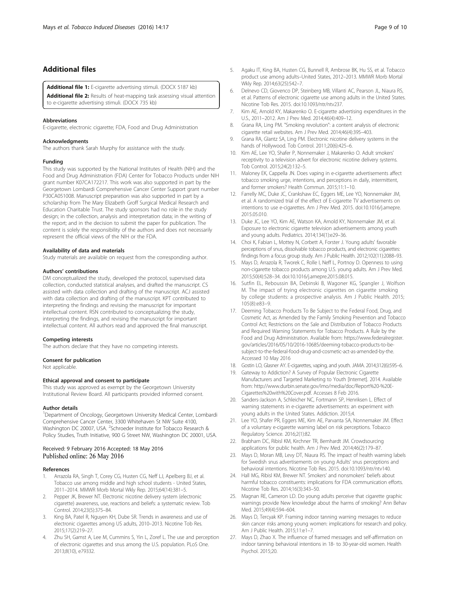# <span id="page-8-0"></span>Additional files

[Additional file 1:](dx.doi.org/10.1186/s12971-016-0083-x) E-cigarette advertising stimuli. (DOCX 5187 kb)

[Additional file 2:](dx.doi.org/10.1186/s12971-016-0083-x) Results of heat-mapping task assessing visual attention to e-cigarette advertising stimuli. (DOCX 735 kb)

#### Abbreviations

E-cigarette, electronic cigarette; FDA, Food and Drug Administration

#### Acknowledgments

The authors thank Sarah Murphy for assistance with the study.

#### Funding

This study was supported by the National Institutes of Health (NIH) and the Food and Drug Administration (FDA) Center for Tobacco Products under NIH grant number K07CA172217. This work was also supported in part by the Georgetown Lombardi Comprehensive Cancer Center Support grant number P30CA051008. Manuscript preparation was also supported in part by a scholarship from The Mary Elizabeth Groff Surgical Medical Research and Education Charitable Trust. The study sponsors had no role in the study design; in the collection, analysis and interpretation data; in the writing of the report; and in the decision to submit the paper for publication. The content is solely the responsibility of the authors and does not necessarily represent the official views of the NIH or the FDA.

#### Availability of data and materials

Study materials are available on request from the corresponding author.

#### Authors' contributions

DM conceptualized the study, developed the protocol, supervised data collection, conducted statistical analyses, and drafted the manuscript. CS assisted with data collection and drafting of the manuscript. ACJ assisted with data collection and drafting of the manuscript. KPT contributed to interpreting the findings and revising the manuscript for important intellectual content. RSN contributed to conceptualizing the study, interpreting the findings, and revising the manuscript for important intellectual content. All authors read and approved the final manuscript.

#### Competing interests

The authors declare that they have no competing interests.

#### Consent for publication

Not applicable.

#### Ethical approval and consent to participate

This study was approved as exempt by the Georgetown University Institutional Review Board. All participants provided informed consent.

#### Author details

<sup>1</sup>Department of Oncology, Georgetown University Medical Center, Lombardi Comprehensive Cancer Center, 3300 Whitehaven St NW Suite 4100, Washington DC 20007, USA. <sup>2</sup>Schroeder Institute for Tobacco Research & Policy Studies, Truth Initiative, 900 G Street NW, Washington DC 20001, USA.

# Received: 9 February 2016 Accepted: 18 May 2016 Published online: 26 May 2016

#### References

- Arrazola RA, Singh T, Corey CG, Husten CG, Neff LJ, Apelberg BJ, et al. Tobacco use among middle and high school students - United States, 2011–2014. MMWR Morb Mortal Wkly Rep. 2015;64(14):381–5.
- 2. Pepper JK, Brewer NT. Electronic nicotine delivery system (electronic cigarette) awareness, use, reactions and beliefs: a systematic review. Tob Control. 2014;23(5):375–84.
- 3. King BA, Patel R, Nguyen KH, Dube SR. Trends in awareness and use of electronic cigarettes among US adults, 2010–2013. Nicotine Tob Res. 2015;17(2):219–27.
- 4. Zhu SH, Gamst A, Lee M, Cummins S, Yin L, Zoref L. The use and perception of electronic cigarettes and snus among the U.S. population. PLoS One. 2013;8(10), e79332.
- 5. Agaku IT, King BA, Husten CG, Bunnell R, Ambrose BK, Hu SS, et al. Tobacco product use among adults–United States, 2012–2013. MMWR Morb Mortal Wkly Rep. 2014;63(25):542–7.
- 6. Delnevo CD, Giovenco DP, Steinberg MB, Villanti AC, Pearson JL, Niaura RS, et al. Patterns of electronic cigarette use among adults in the United States. Nicotine Tob Res. 2015. doi:[10.1093/ntr/ntv237.](http://dx.doi.org/10.1093/ntr/ntv237)
- 7. Kim AE, Arnold KY, Makarenko O. E-cigarette advertising expenditures in the U.S., 2011–2012. Am J Prev Med. 2014;46(4):409–12.
- 8. Grana RA, Ling PM. "Smoking revolution": a content analysis of electronic cigarette retail websites. Am J Prev Med. 2014;46(4):395–403.
- 9. Grana RA, Glantz SA, Ling PM. Electronic nicotine delivery systems in the hands of Hollywood. Tob Control. 2011;20(6):425–6.
- 10. Kim AE, Lee YO, Shafer P, Nonnemaker J, Makarenko O. Adult smokers' receptivity to a television advert for electronic nicotine delivery systems. Tob Control. 2015;24(2):132–5.
- 11. Maloney EK, Cappella JN. Does vaping in e-cigarette advertisements affect tobacco smoking urge, intentions, and perceptions in daily, intermittent, and former smokers? Health Commun. 2015;11:1–10.
- 12. Farrelly MC, Duke JC, Crankshaw EC, Eggers ME, Lee YO, Nonnemaker JM, et al. A randomized trial of the effect of E-cigarette TV advertisements on intentions to use e-cigarettes. Am J Prev Med. 2015. doi:[10.1016/j.amepre.](http://dx.doi.org/10.1016/j.amepre.2015.05.010) [2015.05.010.](http://dx.doi.org/10.1016/j.amepre.2015.05.010)
- 13. Duke JC, Lee YO, Kim AE, Watson KA, Arnold KY, Nonnemaker JM, et al. Exposure to electronic cigarette television advertisements among youth and young adults. Pediatrics. 2014;134(1):e29–36.
- 14. Choi K, Fabian L, Mottey N, Corbett A, Forster J. Young adults' favorable perceptions of snus, dissolvable tobacco products, and electronic cigarettes: findings from a focus group study. Am J Public Health. 2012;102(11):2088–93.
- 15. Mays D, Arrazola R, Tworek C, Rolle I, Neff L, Portnoy D. Openness to using non-cigarette tobacco products among U.S. young adults. Am J Prev Med. 2015;50(4):528–34. doi:[10.1016/j.amepre.2015.08.015.](http://dx.doi.org/10.1016/j.amepre.2015.08.015)
- 16. Sutfin EL, Reboussin BA, Debinski B, Wagoner KG, Spangler J, Wolfson M. The impact of trying electronic cigarettes on cigarette smoking by college students: a prospective analysis. Am J Public Health. 2015; 105(8):e83–9.
- 17. Deeming Tobacco Products To Be Subject to the Federal Food, Drug, and Cosmetic Act, as Amended by the Family Smoking Prevention and Tobacco Control Act; Restrictions on the Sale and Distribution of Tobacco Products and Required Warning Statements for Tobacco Products. A Rule by the Food and Drug Administration. Available from: [https://www.federalregister.](https://www.federalregister.gov/articles/2016/05/10/2016-10685/deeming-tobacco-products-to-be-subject-to-the-federal-food-drug-and-cosmetic-act-as-amended-by-the) [gov/articles/2016/05/10/2016-10685/deeming-tobacco-products-to-be](https://www.federalregister.gov/articles/2016/05/10/2016-10685/deeming-tobacco-products-to-be-subject-to-the-federal-food-drug-and-cosmetic-act-as-amended-by-the)[subject-to-the-federal-food-drug-and-cosmetic-act-as-amended-by-the](https://www.federalregister.gov/articles/2016/05/10/2016-10685/deeming-tobacco-products-to-be-subject-to-the-federal-food-drug-and-cosmetic-act-as-amended-by-the). Accessed 10 May 2016
- 18. Gostin LO, Glasner AY. E-cigarettes, vaping, and youth. JAMA. 2014;312(6):595–6.
- 19. Gateway to Addiction? A Survey of Popular Electronic Cigarette Manufacturers and Targeted Marketing to Youth [Internet]. 2014. Available from: [http://www.durbin.senate.gov/imo/media/doc/Report%20-%20E-](http://www.durbin.senate.gov/imo/media/doc/Report%20-%20E-Cigarettes%20with%20Cover.pdf)[Cigarettes%20with%20Cover.pdf.](http://www.durbin.senate.gov/imo/media/doc/Report%20-%20E-Cigarettes%20with%20Cover.pdf) Accesses 8 Feb 2016.
- 20. Sanders-Jackson A, Schleicher NC, Fortmann SP, Henriksen L. Effect of warning statements in e-cigarette advertisements: an experiment with young adults in the United States. Addiction. 2015;4.
- 21. Lee YO, Shafer PR, Eggers ME, Kim AE, Parvanta SA, Nonnemaker JM. Effect of a voluntary e-cigarette warning label on risk perceptions. Tobacco Regulatory Science. 2016;2(1):82.
- 22. Brabham DC, Ribisl KM, Kirchner TR, Bernhardt JM. Crowdsourcing applications for public health. Am J Prev Med. 2014;46(2):179–87.
- 23. Mays D, Moran MB, Levy DT, Niaura RS. The impact of health warning labels for Swedish snus advertisements on young Adults' snus perceptions and behavioral intentions. Nicotine Tob Res. 2015. doi[:10.1093/ntr/ntv140](http://dx.doi.org/10.1093/ntr/ntv140).
- 24. Hall MG, Ribisl KM, Brewer NT. Smokers' and nonsmokers' beliefs about harmful tobacco constituents: implications for FDA communication efforts. Nicotine Tob Res. 2014;16(3):343–50.
- 25. Magnan RE, Cameron LD. Do young adults perceive that cigarette graphic warnings provide New knowledge about the harms of smoking? Ann Behav Med. 2015;49(4):594–604.
- 26. Mays D, Tercyak KP. Framing indoor tanning warning messages to reduce skin cancer risks among young women: implications for research and policy. Am J Public Health. 2015;11:e1–7.
- 27. Mays D, Zhao X. The influence of framed messages and self-affirmation on indoor tanning behavioral intentions in 18- to 30-year-old women. Health Psychol. 2015;20.